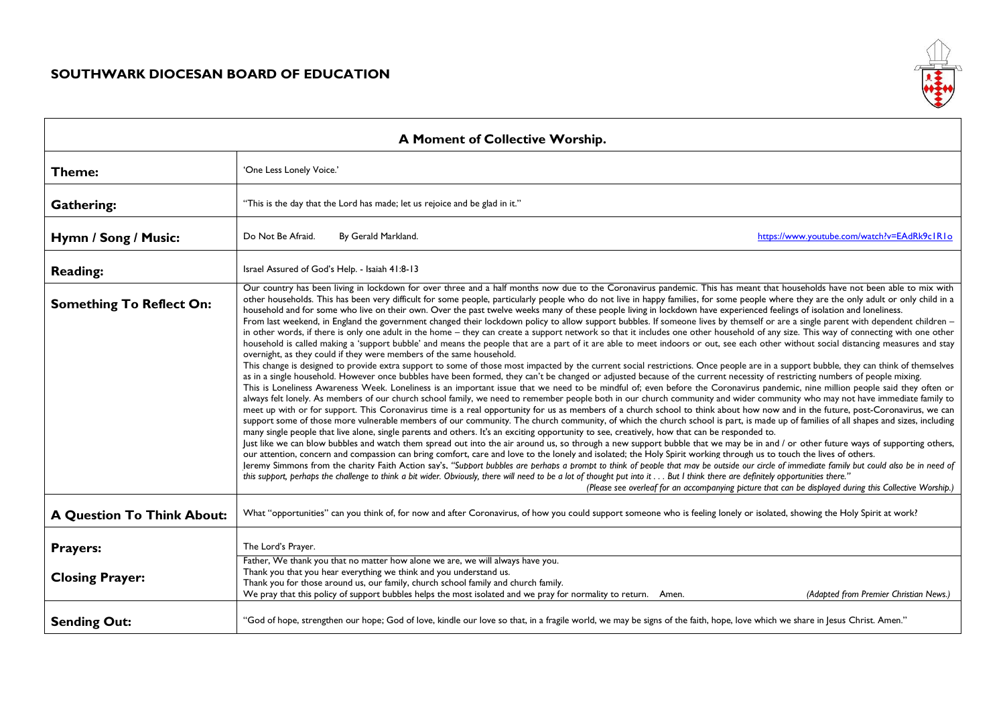$\Gamma$ 



| A Moment of Collective Worship.   |                                                                                                                                                                                                                                                                                                                                                                                                                                                                                                                                                                                                                                                                                                                                                                                                                                                                                                                                                                                                                                                                                                                                                                                                                                                                                                                                                                                                                                                                                                                                                                                                                                                                                                                                                                                                                                                                                                                                                                                                                                                                                                                                                                                                                                                                                                                                                                                                                                                                                                                                                                                                                                                                                                                                                                                                                                                                                                                                                                                                                                                                                                                                                                                                                                                                                                                                     |
|-----------------------------------|-------------------------------------------------------------------------------------------------------------------------------------------------------------------------------------------------------------------------------------------------------------------------------------------------------------------------------------------------------------------------------------------------------------------------------------------------------------------------------------------------------------------------------------------------------------------------------------------------------------------------------------------------------------------------------------------------------------------------------------------------------------------------------------------------------------------------------------------------------------------------------------------------------------------------------------------------------------------------------------------------------------------------------------------------------------------------------------------------------------------------------------------------------------------------------------------------------------------------------------------------------------------------------------------------------------------------------------------------------------------------------------------------------------------------------------------------------------------------------------------------------------------------------------------------------------------------------------------------------------------------------------------------------------------------------------------------------------------------------------------------------------------------------------------------------------------------------------------------------------------------------------------------------------------------------------------------------------------------------------------------------------------------------------------------------------------------------------------------------------------------------------------------------------------------------------------------------------------------------------------------------------------------------------------------------------------------------------------------------------------------------------------------------------------------------------------------------------------------------------------------------------------------------------------------------------------------------------------------------------------------------------------------------------------------------------------------------------------------------------------------------------------------------------------------------------------------------------------------------------------------------------------------------------------------------------------------------------------------------------------------------------------------------------------------------------------------------------------------------------------------------------------------------------------------------------------------------------------------------------------------------------------------------------------------------------------------------------|
| Theme:                            | 'One Less Lonely Voice.'                                                                                                                                                                                                                                                                                                                                                                                                                                                                                                                                                                                                                                                                                                                                                                                                                                                                                                                                                                                                                                                                                                                                                                                                                                                                                                                                                                                                                                                                                                                                                                                                                                                                                                                                                                                                                                                                                                                                                                                                                                                                                                                                                                                                                                                                                                                                                                                                                                                                                                                                                                                                                                                                                                                                                                                                                                                                                                                                                                                                                                                                                                                                                                                                                                                                                                            |
| <b>Gathering:</b>                 | "This is the day that the Lord has made; let us rejoice and be glad in it."                                                                                                                                                                                                                                                                                                                                                                                                                                                                                                                                                                                                                                                                                                                                                                                                                                                                                                                                                                                                                                                                                                                                                                                                                                                                                                                                                                                                                                                                                                                                                                                                                                                                                                                                                                                                                                                                                                                                                                                                                                                                                                                                                                                                                                                                                                                                                                                                                                                                                                                                                                                                                                                                                                                                                                                                                                                                                                                                                                                                                                                                                                                                                                                                                                                         |
| Hymn / Song / Music:              | Do Not Be Afraid.<br>By Gerald Markland.<br>https://www.youtube.com/watch?v=EAdRk9c1R1o                                                                                                                                                                                                                                                                                                                                                                                                                                                                                                                                                                                                                                                                                                                                                                                                                                                                                                                                                                                                                                                                                                                                                                                                                                                                                                                                                                                                                                                                                                                                                                                                                                                                                                                                                                                                                                                                                                                                                                                                                                                                                                                                                                                                                                                                                                                                                                                                                                                                                                                                                                                                                                                                                                                                                                                                                                                                                                                                                                                                                                                                                                                                                                                                                                             |
| <b>Reading:</b>                   | Israel Assured of God's Help. - Isaiah 41:8-13                                                                                                                                                                                                                                                                                                                                                                                                                                                                                                                                                                                                                                                                                                                                                                                                                                                                                                                                                                                                                                                                                                                                                                                                                                                                                                                                                                                                                                                                                                                                                                                                                                                                                                                                                                                                                                                                                                                                                                                                                                                                                                                                                                                                                                                                                                                                                                                                                                                                                                                                                                                                                                                                                                                                                                                                                                                                                                                                                                                                                                                                                                                                                                                                                                                                                      |
| <b>Something To Reflect On:</b>   | Our country has been living in lockdown for over three and a half months now due to the Coronavirus pandemic. This has meant that households have not been able to mix with<br>other households. This has been very difficult for some people, particularly people who do not live in happy families, for some people where they are the only adult or only child in a<br>household and for some who live on their own. Over the past twelve weeks many of these people living in lockdown have experienced feelings of isolation and loneliness.<br>From last weekend, in England the government changed their lockdown policy to allow support bubbles. If someone lives by themself or are a single parent with dependent children -<br>in other words, if there is only one adult in the home - they can create a support network so that it includes one other household of any size. This way of connecting with one other<br>household is called making a 'support bubble' and means the people that are a part of it are able to meet indoors or out, see each other without social distancing measures and stay<br>overnight, as they could if they were members of the same household.<br>This change is designed to provide extra support to some of those most impacted by the current social restrictions. Once people are in a support bubble, they can think of themselves<br>as in a single household. However once bubbles have been formed, they can't be changed or adjusted because of the current necessity of restricting numbers of people mixing.<br>This is Loneliness Awareness Week. Loneliness is an important issue that we need to be mindful of; even before the Coronavirus pandemic, nine million people said they often or<br>always felt lonely. As members of our church school family, we need to remember people both in our church community and wider community who may not have immediate family to<br>meet up with or for support. This Coronavirus time is a real opportunity for us as members of a church school to think about how now and in the future, post-Coronavirus, we can<br>support some of those more vulnerable members of our community. The church community, of which the church school is part, is made up of families of all shapes and sizes, including<br>many single people that live alone, single parents and others. It's an exciting opportunity to see, creatively, how that can be responded to.<br>Just like we can blow bubbles and watch them spread out into the air around us, so through a new support bubble that we may be in and / or other future ways of supporting others,<br>our attention, concern and compassion can bring comfort, care and love to the lonely and isolated; the Holy Spirit working through us to touch the lives of others.<br>Jeremy Simmons from the charity Faith Action say's, "Support bubbles are perhaps a prompt to think of people that may be outside our circle of immediate family but could also be in need of<br>this support, perhaps the challenge to think a bit wider. Obviously, there will need to be a lot of thought put into it  But I think there are definitely opportunities there."<br>(Please see overleaf for an accompanying picture that can be displayed during this Collective Worship.) |
| <b>A Question To Think About:</b> | What "opportunities" can you think of, for now and after Coronavirus, of how you could support someone who is feeling lonely or isolated, showing the Holy Spirit at work?                                                                                                                                                                                                                                                                                                                                                                                                                                                                                                                                                                                                                                                                                                                                                                                                                                                                                                                                                                                                                                                                                                                                                                                                                                                                                                                                                                                                                                                                                                                                                                                                                                                                                                                                                                                                                                                                                                                                                                                                                                                                                                                                                                                                                                                                                                                                                                                                                                                                                                                                                                                                                                                                                                                                                                                                                                                                                                                                                                                                                                                                                                                                                          |
| <b>Prayers:</b>                   | The Lord's Prayer.                                                                                                                                                                                                                                                                                                                                                                                                                                                                                                                                                                                                                                                                                                                                                                                                                                                                                                                                                                                                                                                                                                                                                                                                                                                                                                                                                                                                                                                                                                                                                                                                                                                                                                                                                                                                                                                                                                                                                                                                                                                                                                                                                                                                                                                                                                                                                                                                                                                                                                                                                                                                                                                                                                                                                                                                                                                                                                                                                                                                                                                                                                                                                                                                                                                                                                                  |
| <b>Closing Prayer:</b>            | Father, We thank you that no matter how alone we are, we will always have you.<br>Thank you that you hear everything we think and you understand us.<br>Thank you for those around us, our family, church school family and church family.<br>We pray that this policy of support bubbles helps the most isolated and we pray for normality to return. Amen.<br>(Adapted from Premier Christian News.)                                                                                                                                                                                                                                                                                                                                                                                                                                                                                                                                                                                                                                                                                                                                                                                                                                                                                                                                                                                                                                                                                                                                                                                                                                                                                                                                                                                                                                                                                                                                                                                                                                                                                                                                                                                                                                                                                                                                                                                                                                                                                                                                                                                                                                                                                                                                                                                                                                                                                                                                                                                                                                                                                                                                                                                                                                                                                                                              |
| <b>Sending Out:</b>               | "God of hope, strengthen our hope; God of love, kindle our love so that, in a fragile world, we may be signs of the faith, hope, love which we share in Jesus Christ. Amen."                                                                                                                                                                                                                                                                                                                                                                                                                                                                                                                                                                                                                                                                                                                                                                                                                                                                                                                                                                                                                                                                                                                                                                                                                                                                                                                                                                                                                                                                                                                                                                                                                                                                                                                                                                                                                                                                                                                                                                                                                                                                                                                                                                                                                                                                                                                                                                                                                                                                                                                                                                                                                                                                                                                                                                                                                                                                                                                                                                                                                                                                                                                                                        |